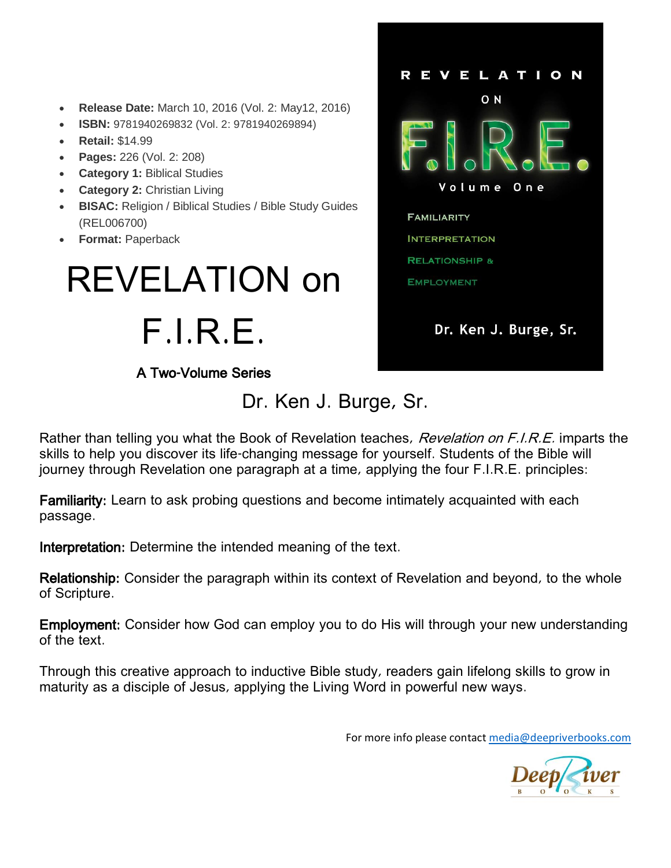- **Release Date:** March 10, 2016 (Vol. 2: May12, 2016)
- **ISBN:** 9781940269832 (Vol. 2: 9781940269894)
- **Retail:** \$14.99
- **Pages:** 226 (Vol. 2: 208)
- **Category 1:** Biblical Studies
- **Category 2:** Christian Living
- **BISAC:** Religion / Biblical Studies / Bible Study Guides (REL006700)
- **Format:** Paperback

# REVELATION on F.I.R.E.

A Two-Volume Series

Dr. Ken J. Burge, Sr.



Rather than telling you what the Book of Revelation teaches, *Revelation on F.I.R.E.* imparts the skills to help you discover its life-changing message for yourself. Students of the Bible will journey through Revelation one paragraph at a time, applying the four F.I.R.E. principles:

Familiarity: Learn to ask probing questions and become intimately acquainted with each passage.

Interpretation: Determine the intended meaning of the text.

Relationship: Consider the paragraph within its context of Revelation and beyond, to the whole of Scripture.

Employment: Consider how God can employ you to do His will through your new understanding of the text.

Through this creative approach to inductive Bible study, readers gain lifelong skills to grow in maturity as a disciple of Jesus, applying the Living Word in powerful new ways.

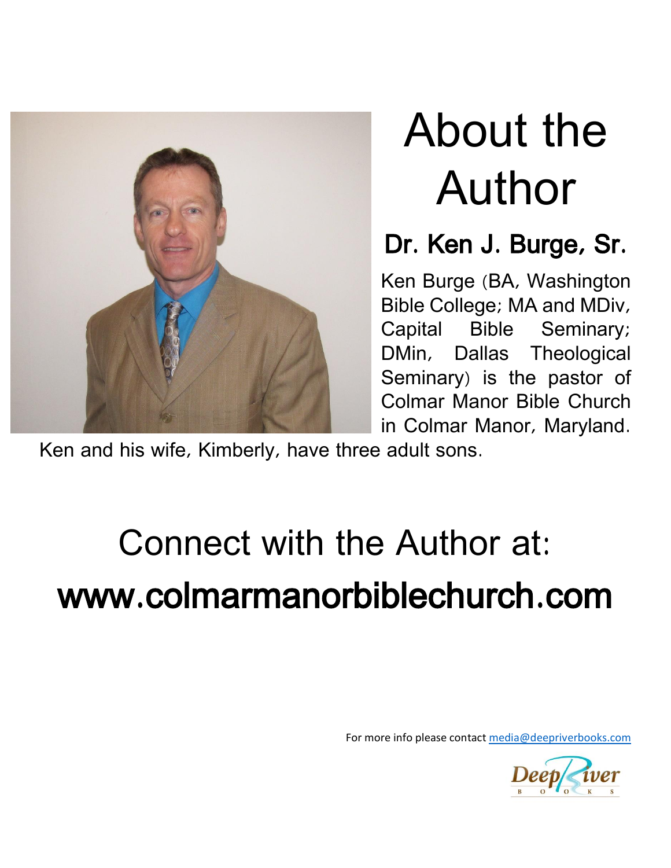

# About the Author

### Dr. Ken J. Burge, Sr.

Ken Burge (BA, Washington Bible College; MA and MDiv, Capital Bible Seminary; DMin, Dallas Theological Seminary) is the pastor of Colmar Manor Bible Church in Colmar Manor, Maryland.

Ken and his wife, Kimberly, have three adult sons.

# Connect with the Author at: www.colmarmanorbiblechurch.com

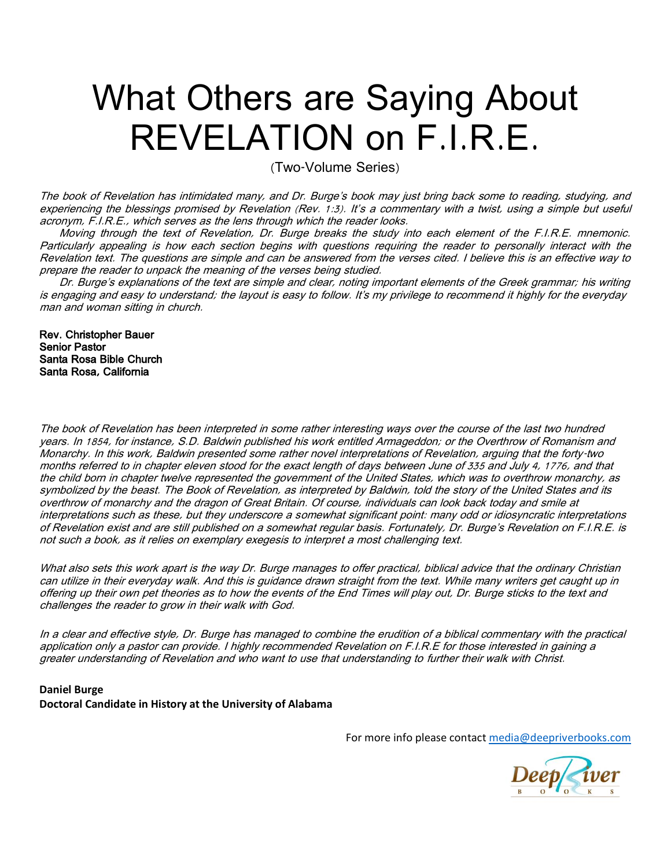## What Others are Saying About REVELATION on F.I.R.E.

(Two-Volume Series)

The book of Revelation has intimidated many, and Dr. Burge's book may just bring back some to reading, studying, and experiencing the blessings promised by Revelation (Rev. 1:3). It's a commentary with a twist, using a simple but useful acronym, F.I.R.E., which serves as the lens through which the reader looks.

Moving through the text of Revelation, Dr. Burge breaks the study into each element of the F.I.R.E. mnemonic. Particularly appealing is how each section begins with questions requiring the reader to personally interact with the Revelation text. The questions are simple and can be answered from the verses cited. I believe this is an effective way to prepare the reader to unpack the meaning of the verses being studied.

Dr. Burge's explanations of the text are simple and clear, noting important elements of the Greek grammar; his writing is engaging and easy to understand; the layout is easy to follow. It's my privilege to recommend it highly for the everyday man and woman sitting in church.

Rev. Christopher Bauer Senior Pastor Santa Rosa Bible Church Santa Rosa, California

The book of Revelation has been interpreted in some rather interesting ways over the course of the last two hundred years. In 1854, for instance, S.D. Baldwin published his work entitled Armageddon; or the Overthrow of Romanism and Monarchy. In this work, Baldwin presented some rather novel interpretations of Revelation, arguing that the forty-two months referred to in chapter eleven stood for the exact length of days between June of 335 and July 4, 1776, and that the child born in chapter twelve represented the government of the United States, which was to overthrow monarchy, as symbolized by the beast. The Book of Revelation, as interpreted by Baldwin, told the story of the United States and its overthrow of monarchy and the dragon of Great Britain. Of course, individuals can look back today and smile at interpretations such as these, but they underscore a somewhat significant point: many odd or idiosyncratic interpretations of Revelation exist and are still published on a somewhat regular basis. Fortunately, Dr. Burge's Revelation on F.I.R.E. is not such a book, as it relies on exemplary exegesis to interpret a most challenging text.

What also sets this work apart is the way Dr. Burge manages to offer practical, biblical advice that the ordinary Christian can utilize in their everyday walk. And this is guidance drawn straight from the text. While many writers get caught up in offering up their own pet theories as to how the events of the End Times will play out, Dr. Burge sticks to the text and challenges the reader to grow in their walk with God.

In a clear and effective style, Dr. Burge has managed to combine the erudition of a biblical commentary with the practical application only a pastor can provide. I highly recommended Revelation on F.I.R.E for those interested in gaining a greater understanding of Revelation and who want to use that understanding to further their walk with Christ.

#### **Daniel Burge Doctoral Candidate in History at the University of Alabama**

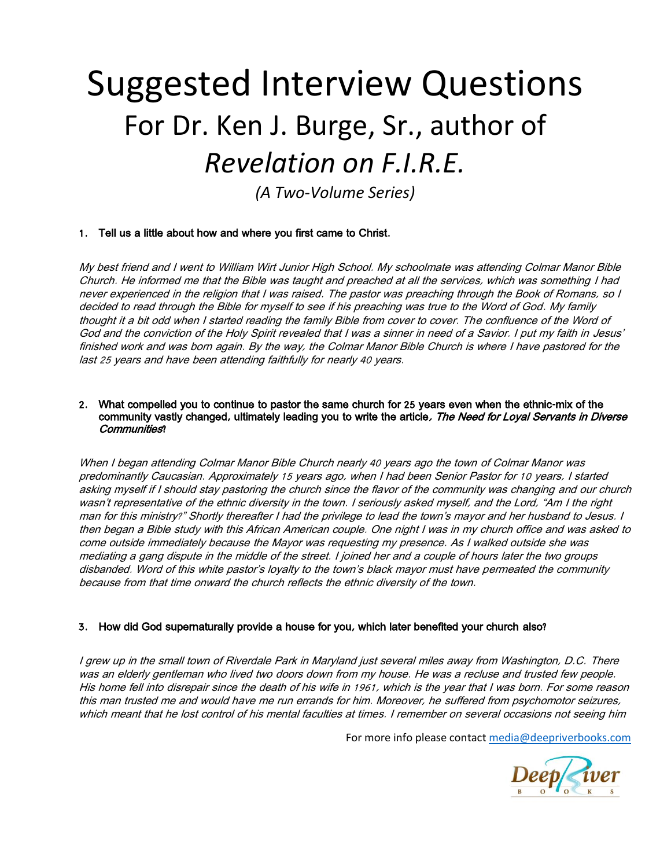## Suggested Interview Questions For Dr. Ken J. Burge, Sr., author of *Revelation on F.I.R.E.*

*(A Two-Volume Series)*

#### 1. Tell us a little about how and where you first came to Christ.

My best friend and I went to William Wirt Junior High School. My schoolmate was attending Colmar Manor Bible Church. He informed me that the Bible was taught and preached at all the services, which was something I had never experienced in the religion that I was raised. The pastor was preaching through the Book of Romans, so I decided to read through the Bible for myself to see if his preaching was true to the Word of God. My family thought it a bit odd when I started reading the family Bible from cover to cover. The confluence of the Word of God and the conviction of the Holy Spirit revealed that I was a sinner in need of a Savior. I put my faith in Jesus' finished work and was born again. By the way, the Colmar Manor Bible Church is where I have pastored for the last 25 years and have been attending faithfully for nearly 40 years.

#### 2. What compelled you to continue to pastor the same church for 25 years even when the ethnic-mix of the community vastly changed, ultimately leading you to write the article, The Need for Loyal Servants in Diverse Communities?

When I began attending Colmar Manor Bible Church nearly 40 years ago the town of Colmar Manor was predominantly Caucasian. Approximately 15 years ago, when I had been Senior Pastor for 10 years, I started asking myself if I should stay pastoring the church since the flavor of the community was changing and our church wasn't representative of the ethnic diversity in the town. I seriously asked myself, and the Lord, "Am I the right man for this ministry?" Shortly thereafter I had the privilege to lead the town's mayor and her husband to Jesus. I then began a Bible study with this African American couple. One night I was in my church office and was asked to come outside immediately because the Mayor was requesting my presence. As I walked outside she was mediating a gang dispute in the middle of the street. I joined her and a couple of hours later the two groups disbanded. Word of this white pastor's loyalty to the town's black mayor must have permeated the community because from that time onward the church reflects the ethnic diversity of the town.

#### 3. How did God supernaturally provide a house for you, which later benefited your church also?

I grew up in the small town of Riverdale Park in Maryland just several miles away from Washington, D.C. There was an elderly gentleman who lived two doors down from my house. He was a recluse and trusted few people. His home fell into disrepair since the death of his wife in 1961, which is the year that I was born. For some reason this man trusted me and would have me run errands for him. Moreover, he suffered from psychomotor seizures, which meant that he lost control of his mental faculties at times. I remember on several occasions not seeing him

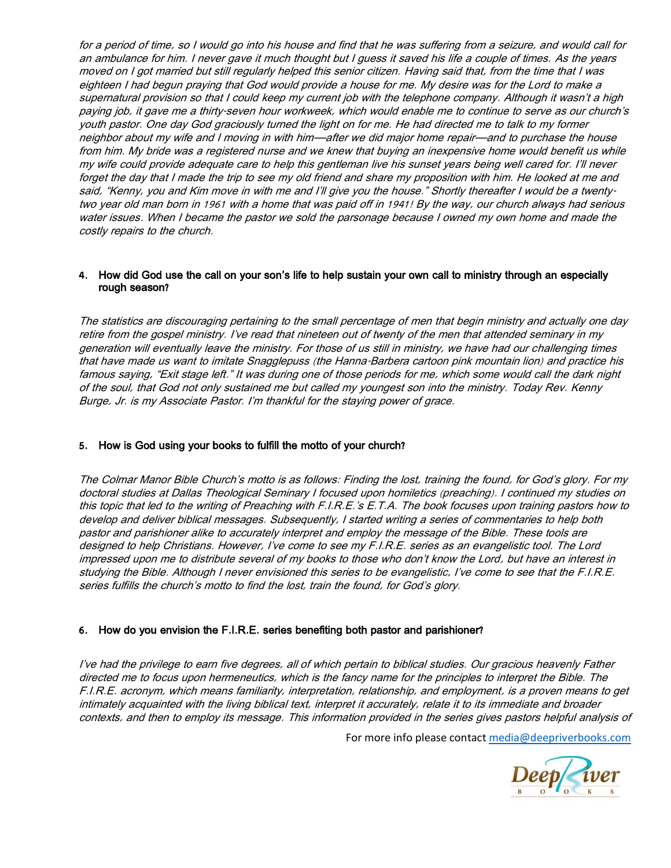for a period of time, so I would go into his house and find that he was suffering from a seizure, and would call for an ambulance for him. I never gave it much thought but I guess it saved his life a couple of times. As the years moved on I got married but still regularly helped this senior citizen. Having said that, from the time that I was eighteen I had begun praying that God would provide a house for me. My desire was for the Lord to make a supernatural provision so that I could keep my current job with the telephone company. Although it wasn't <sup>a</sup> high paying job, it gave me a thirty-seven hour workweek, which would enable me to continue to serve as our church's youth pastor. One day God graciously turned the light on for me. He had directed me to talk to my former neighbor about my wife and I moving in with him—after we did major home repair—and to purchase the house from him. My bride was a registered nurse and we knew that buying an inexpensive home would benefit us while my wife could provide adequate care to help this gentleman live his sunset years being well cared for. I'll never forget the day that I made the trip to see my old friend and share my proposition with him. He looked at me and said, "Kenny, you and Kim move in with me and I'll give you the house." Shortly thereafter I would be a twentytwo year old man born in 1961 with a home that was paid off in 1941! By the way, our church always had serious water issues. When I became the pastor we sold the parsonage because I owned my own home and made the costly repairs to the church.

#### 4. How did God use the call on your son's life to help sustain your own call to ministry through an especially rough season?

The statistics are discouraging pertaining to the small percentage of men that begin ministry and actually one day retire from the gospel ministry. I've read that nineteen out of twenty of the men that attended seminary in my generation will eventually leave the ministry. For those of us still in ministry, we have had our challenging times that have made us want to imitate Snagglepuss (the Hanna-Barbera cartoon pink mountain lion) and practice his famous saying, "Exit stage left." It was during one of those periods for me, which some would call the dark night of the soul, that God not only sustained me but called my youngest son into the ministry. Today Rev. Kenny Burge, Jr. is my Associate Pastor. I'm thankful for the staying power of grace.

#### 5. How is God using your books to fulfill the motto of your church?

The Colmar Manor Bible Church's motto is as follows: Finding the lost, training the found, for God's glory. For my doctoral studies at Dallas Theological Seminary I focused upon homiletics (preaching). I continued my studies on this topic that led to the writing of Preaching with F.I.R.E.'s E.T.A. The book focuses upon training pastors how to develop and deliver biblical messages. Subsequently, I started writing a series of commentaries to help both pastor and parishioner alike to accurately interpret and employ the message of the Bible. These tools are designed to help Christians. However, I've come to see my F.I.R.E. series as an evangelistic tool. The Lord impressed upon me to distribute several of my books to those who don't know the Lord, but have an interest in studying the Bible. Although I never envisioned this series to be evangelistic, I've come to see that the F.I.R.E. series fulfills the church's motto to find the lost, train the found, for God's glory.

#### 6. How do you envision the F.I.R.E. series benefiting both pastor and parishioner?

I've had the privilege to earn five degrees, all of which pertain to biblical studies. Our gracious heavenly Father directed me to focus upon hermeneutics, which is the fancy name for the principles to interpret the Bible. The F.I.R.E. acronym, which means familiarity, interpretation, relationship, and employment, is a proven means to get intimately acquainted with the living biblical text, interpret it accurately, relate it to its immediate and broader contexts, and then to employ its message. This information provided in the series gives pastors helpful analysis of